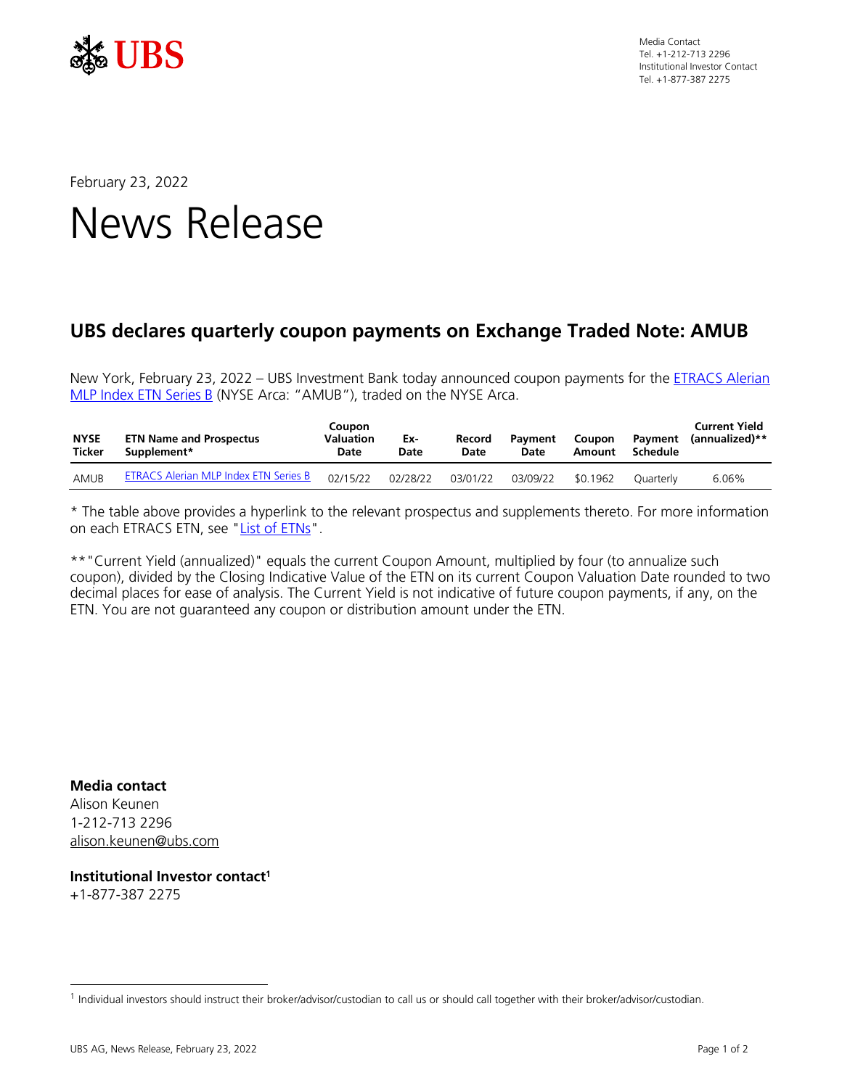

Media Contact Tel. +1-212-713 2296 Institutional Investor Contact Tel. +1-877-387 2275

February 23, 2022

## News Release

## **UBS declares quarterly coupon payments on Exchange Traded Note: AMUB**

New York, February 23, 2022 – UBS Investment Bank today announced coupon payments for the **ETRACS Alerian** [MLP Index ETN Series B](http://etracs.ubs.com/docs/ussymbol/AMUB/prospectus-supplement) (NYSE Arca: "AMUB"), traded on the NYSE Arca.

| <b>NYSE</b><br>Ticker | <b>ETN Name and Prospectus</b><br>Supplement* | Coupon<br>Valuation<br>Date | Ex-<br>Date | Record<br>Date | Pavment<br>Date | <b>Coupon</b><br>Amount | Pavment<br>Schedule | <b>Current Yield</b><br>(annualized)** |
|-----------------------|-----------------------------------------------|-----------------------------|-------------|----------------|-----------------|-------------------------|---------------------|----------------------------------------|
| AMUB                  | <b>ETRACS Alerian MLP Index ETN Series B</b>  | 02/15/22                    | 02/28/22    | 03/01/22       | 03/09/22        | \$0.1962                | Ouarterly           | 6.06%                                  |

\* The table above provides a hyperlink to the relevant prospectus and supplements thereto. For more information on each ETRACS ETN, see ["List of ETNs"](https://etracs.ubs.com/filedb/deliver/xuuid/l00155f258cc4d2e4bb0bf28055842c95835/name/Full+ETN+List.pdf).

\*\*"Current Yield (annualized)" equals the current Coupon Amount, multiplied by four (to annualize such coupon), divided by the Closing Indicative Value of the ETN on its current Coupon Valuation Date rounded to two decimal places for ease of analysis. The Current Yield is not indicative of future coupon payments, if any, on the ETN. You are not guaranteed any coupon or distribution amount under the ETN.

**Media contact** Alison Keunen 1-212-713 2296 [alison.keunen@ubs.com](mailto:alison.keunen@ubs.com)

**Institutional Investor contact<sup>1</sup>** +1-877-387 2275

<sup>1</sup> Individual investors should instruct their broker/advisor/custodian to call us or should call together with their broker/advisor/custodian.